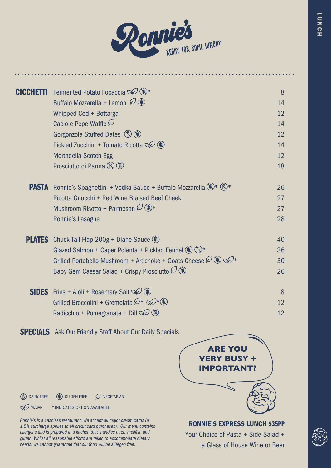

| CICCHETTI | Fermented Potato Focaccia $\mathbb{Q}(\mathscr{C})^*$                             | 8  |
|-----------|-----------------------------------------------------------------------------------|----|
|           | Buffalo Mozzarella + Lemon $\mathcal{O}(\mathbf{R})$                              | 14 |
|           | Whipped Cod + Bottarga                                                            | 12 |
|           | Cacio e Pepe Waffle $\varnothing$                                                 | 14 |
|           | Gorgonzola Stuffed Dates (S) (S)                                                  | 12 |
|           | Pickled Zucchini + Tomato Ricotta $\mathbb{Q}$ (\$)                               | 14 |
|           | Mortadella Scotch Egg                                                             | 12 |
|           | Prosciutto di Parma (S) (\$)                                                      | 18 |
|           | <b>PASTA</b> Ronnie's Spaghettini + Vodka Sauce + Buffalo Mozzarella (*)* (S)*    | 26 |
|           | Ricotta Gnocchi + Red Wine Braised Beef Cheek                                     | 27 |
|           | Mushroom Risotto + Parmesan $\mathcal{O}(\mathbf{R}^*)$                           | 27 |
|           | Ronnie's Lasagne                                                                  | 28 |
|           | <b>PLATES</b> Chuck Tail Flap 200g + Diane Sauce $(\%)$                           | 40 |
|           | Glazed Salmon + Caper Polenta + Pickled Fennel (\$) (5)*                          | 36 |
|           | Grilled Portabello Mushroom + Artichoke + Goats Cheese $\mathcal{O}(\mathcal{R})$ | 30 |
|           | Baby Gem Caesar Salad + Crispy Prosciutto $\mathcal{O}(\mathcal{R})$              | 26 |
|           | <b>SIDES</b> Fries + Aioli + Rosemary Salt $\mathbb{Q}$ ( $\mathbb{R}$ )          | 8  |
|           | Grilled Broccolini + Gremolata $\mathcal{D}^* \otimes \mathcal{D}^*(\mathbb{R})$  | 12 |
|           | Radicchio + Pomegranate + Dill $\mathcal{D}(\mathcal{R})$                         | 12 |
|           |                                                                                   |    |

**SPECIALS** Ask Our Friendly Staff About Our Daily Specials



RONNIE'S EXPRESS LUNCH \$35PP

Your Choice of Pasta + Side Salad + a Glass of House Wine or Beer



 $\circledR$  dairy free  $\circledR$  gluten free  $\oslash$  vegetarian

**VEGAN** \* INDICATES OPTION AVAILABLE

*Ronnie's is a cashless restaurant. We accept all major credit cards (a 1.5% surcharge applies to all credit card purchases). Our menu contains allergens and is prepared in a kitchen that handles nuts, shellfish and gluten. Whilst all reasonable efforts are taken to accommodate dietary needs, we cannot guarantee that our food will be allergen free.*